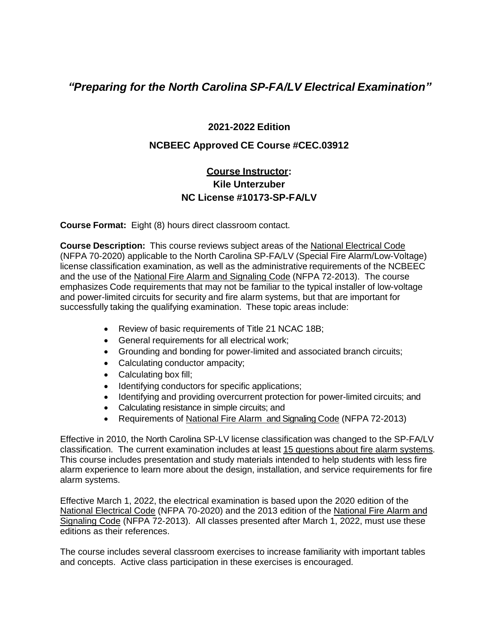## *"Preparing for the North Carolina SP-FA/LV Electrical Examination"*

## **2021-2022 Edition**

## **NCBEEC Approved CE Course #CEC.03912**

## **Course Instructor: Kile Unterzuber NC License #10173-SP-FA/LV**

**Course Format:** Eight (8) hours direct classroom contact.

**Course Description:** This course reviews subject areas of the National Electrical Code (NFPA 70-2020) applicable to the North Carolina SP-FA/LV (Special Fire Alarm/Low-Voltage) license classification examination, as well as the administrative requirements of the NCBEEC and the use of the National Fire Alarm and Signaling Code (NFPA 72-2013). The course emphasizes Code requirements that may not be familiar to the typical installer of low-voltage and power-limited circuits for security and fire alarm systems, but that are important for successfully taking the qualifying examination. These topic areas include:

- Review of basic requirements of Title 21 NCAC 18B;
- General requirements for all electrical work;
- Grounding and bonding for power-limited and associated branch circuits;
- Calculating conductor ampacity;
- Calculating box fill;
- Identifying conductors for specific applications;
- Identifying and providing overcurrent protection for power-limited circuits; and
- Calculating resistance in simple circuits; and
- Requirements of National Fire Alarm and Signaling Code (NFPA 72-2013)

Effective in 2010, the North Carolina SP-LV license classification was changed to the SP-FA/LV classification. The current examination includes at least 15 questions about fire alarm systems. This course includes presentation and study materials intended to help students with less fire alarm experience to learn more about the design, installation, and service requirements for fire alarm systems.

Effective March 1, 2022, the electrical examination is based upon the 2020 edition of the National Electrical Code (NFPA 70-2020) and the 2013 edition of the National Fire Alarm and Signaling Code (NFPA 72-2013). All classes presented after March 1, 2022, must use these editions as their references.

The course includes several classroom exercises to increase familiarity with important tables and concepts. Active class participation in these exercises is encouraged.